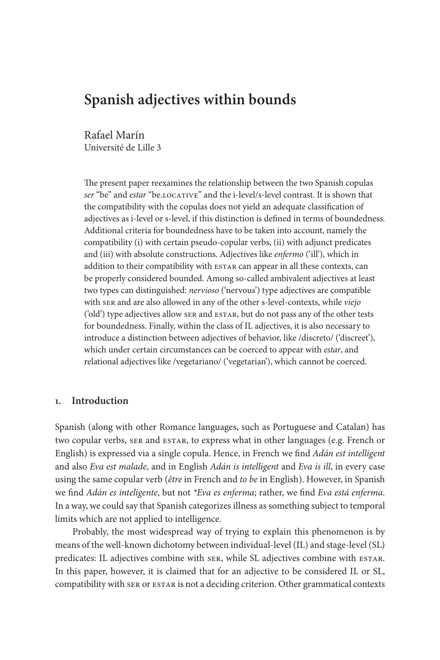# **Spanish adjectives within bounds**

Rafael Marín Université de Lille 3

The present paper reexamines the relationship between the two Spanish copulas *ser* "be" and *estar* "be.locative" and the i-level/s-level contrast. It is shown that the compatibility with the copulas does not yield an adequate classification of adjectives as i-level or s-level, if this distinction is defined in terms of boundedness. Additional criteria for boundedness have to be taken into account, namely the compatibility (i) with certain pseudo-copular verbs, (ii) with adjunct predicates and (iii) with absolute constructions. Adjectives like *enfermo* ('ill'), which in addition to their compatibility with ESTAR can appear in all these contexts, can be properly considered bounded. Among so-called ambivalent adjectives at least two types can distinguished: *nervioso* ('nervous') type adjectives are compatible with ser and are also allowed in any of the other s-level-contexts, while *viejo* ('old') type adjectives allow SER and ESTAR, but do not pass any of the other tests for boundedness. Finally, within the class of IL adjectives, it is also necessary to introduce a distinction between adjectives of behavior, like /discreto/ ('discreet'), which under certain circumstances can be coerced to appear with *estar*, and relational adjectives like /vegetariano/ ('vegetarian'), which cannot be coerced.

# **1. Introduction**

Spanish (along with other Romance languages, such as Portuguese and Catalan) has two copular verbs, ser and ESTAR, to express what in other languages (e.g. French or English) is expressed via a single copula. Hence, in French we find *Adán est intelligent* and also *Eva est malade*, and in English *Adán is intelligent* and *Eva is ill*, in every case using the same copular verb (*être* in French and *to be* in English). However, in Spanish we find *Adán es inteligente*, but not *\*Eva es enferma*; rather, we find *Eva está enferma*. In a way, we could say that Spanish categorizes illness as something subject to temporal limits which are not applied to intelligence.

Probably, the most widespread way of trying to explain this phenomenon is by means of the well-known dichotomy between individual-level (IL) and stage-level (SL) predicates: IL adjectives combine with ser, while SL adjectives combine with ESTAR. In this paper, however, it is claimed that for an adjective to be considered IL or SL, compatibility with ser or estar is not a deciding criterion. Other grammatical contexts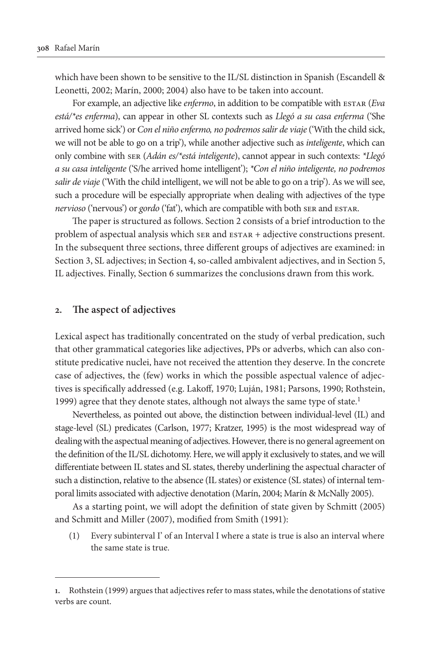which have been shown to be sensitive to the IL/SL distinction in Spanish (Escandell & Leonetti, 2002; Marín, 2000; 2004) also have to be taken into account.

For example, an adjective like *enfermo*, in addition to be compatible with ESTAR (*Eva está/\*es enferma*), can appear in other SL contexts such as *Llegó a su casa enferma* ('She arrived home sick') or *Con el niño enfermo, no podremos salir de viaje* ('With the child sick, we will not be able to go on a trip'), while another adjective such as *inteligente*, which can only combine with ser (*Adán es/\*está inteligente*), cannot appear in such contexts: *\*Llegó a su casa inteligente* ('S/he arrived home intelligent'); *\*Con el niño inteligente, no podremos salir de viaje* ('With the child intelligent, we will not be able to go on a trip'). As we will see, such a procedure will be especially appropriate when dealing with adjectives of the type *nervioso* ('nervous') or *gordo* ('fat'), which are compatible with both ser and estar.

The paper is structured as follows. Section 2 consists of a brief introduction to the problem of aspectual analysis which ser and ESTAR + adjective constructions present. In the subsequent three sections, three different groups of adjectives are examined: in Section 3, SL adjectives; in Section 4, so-called ambivalent adjectives, and in Section 5, IL adjectives. Finally, Section 6 summarizes the conclusions drawn from this work.

#### **2. The aspect of adjectives**

Lexical aspect has traditionally concentrated on the study of verbal predication, such that other grammatical categories like adjectives, PPs or adverbs, which can also constitute predicative nuclei, have not received the attention they deserve. In the concrete case of adjectives, the (few) works in which the possible aspectual valence of adjectives is specifically addressed (e.g. Lakoff, 1970; Luján, 1981; Parsons, 1990; Rothstein, 1999) agree that they denote states, although not always the same type of state.<sup>1</sup>

Nevertheless, as pointed out above, the distinction between individual-level (IL) and stage-level (SL) predicates (Carlson, 1977; Kratzer, 1995) is the most widespread way of dealing with the aspectual meaning of adjectives. However, there is no general agreement on the definition of the IL/SL dichotomy. Here, we will apply it exclusively to states, and we will differentiate between IL states and SL states, thereby underlining the aspectual character of such a distinction, relative to the absence (IL states) or existence (SL states) of internal temporal limits associated with adjective denotation (Marín, 2004; Marín & McNally 2005).

As a starting point, we will adopt the definition of state given by Schmitt (2005) and Schmitt and Miller (2007), modified from Smith (1991):

(1) Every subinterval I' of an Interval I where a state is true is also an interval where the same state is true.

**<sup>1.</sup>** Rothstein (1999) argues that adjectives refer to mass states, while the denotations of stative verbs are count.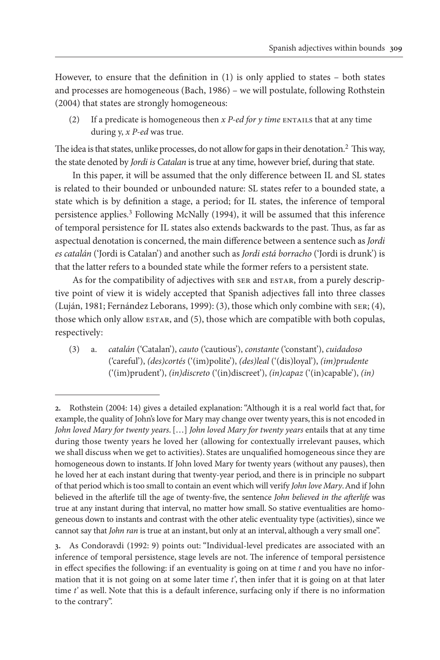However, to ensure that the definition in (1) is only applied to states – both states and processes are homogeneous (Bach, 1986) – we will postulate, following Rothstein (2004) that states are strongly homogeneous:

(2) If a predicate is homogeneous then  $x$  *P-ed for y time* ENTAILS that at any time during y, *x P-ed* was true.

The idea is that states, unlike processes, do not allow for gaps in their denotation.2 This way, the state denoted by *Jordi is Catalan* is true at any time, however brief, during that state.

In this paper, it will be assumed that the only difference between IL and SL states is related to their bounded or unbounded nature: SL states refer to a bounded state, a state which is by definition a stage, a period; for IL states, the inference of temporal persistence applies.3 Following McNally (1994), it will be assumed that this inference of temporal persistence for IL states also extends backwards to the past. Thus, as far as aspectual denotation is concerned, the main difference between a sentence such as *Jordi es catalán* ('Jordi is Catalan') and another such as *Jordi está borracho* ('Jordi is drunk') is that the latter refers to a bounded state while the former refers to a persistent state.

As for the compatibility of adjectives with ser and ESTAR, from a purely descriptive point of view it is widely accepted that Spanish adjectives fall into three classes (Luján, 1981; Fernández Leborans, 1999): (3), those which only combine with ser; (4), those which only allow estar, and (5), those which are compatible with both copulas, respectively:

(3) a. *catalán* ('Catalan'), *cauto* ('cautious'), *constante* ('constant'), *cuidadoso* ('careful'), *(des)cortés* ('(im)polite'), *(des)leal* ('(dis)loyal'), *(im)prudente* ('(im)prudent'), *(in)discreto* ('(in)discreet'), *(in)capaz* ('(in)capable'), *(in)*

**<sup>2.</sup>** Rothstein (2004: 14) gives a detailed explanation: "Although it is a real world fact that, for example, the quality of John's love for Mary may change over twenty years, this is not encoded in *John loved Mary for twenty years*. […] *John loved Mary for twenty years* entails that at any time during those twenty years he loved her (allowing for contextually irrelevant pauses, which we shall discuss when we get to activities). States are unqualified homogeneous since they are homogeneous down to instants. If John loved Mary for twenty years (without any pauses), then he loved her at each instant during that twenty-year period, and there is in principle no subpart of that period which is too small to contain an event which will verify *John love Mary*. And if John believed in the afterlife till the age of twenty-five, the sentence *John believed in the afterlife* was true at any instant during that interval, no matter how small. So stative eventualities are homogeneous down to instants and contrast with the other atelic eventuality type (activities), since we cannot say that *John ran* is true at an instant, but only at an interval, although a very small one".

**<sup>3.</sup>** As Condoravdi (1992: 9) points out: "Individual-level predicates are associated with an inference of temporal persistence, stage levels are not. The inference of temporal persistence in effect specifies the following: if an eventuality is going on at time *t* and you have no information that it is not going on at some later time *t'*, then infer that it is going on at that later time *t'* as well. Note that this is a default inference, surfacing only if there is no information to the contrary".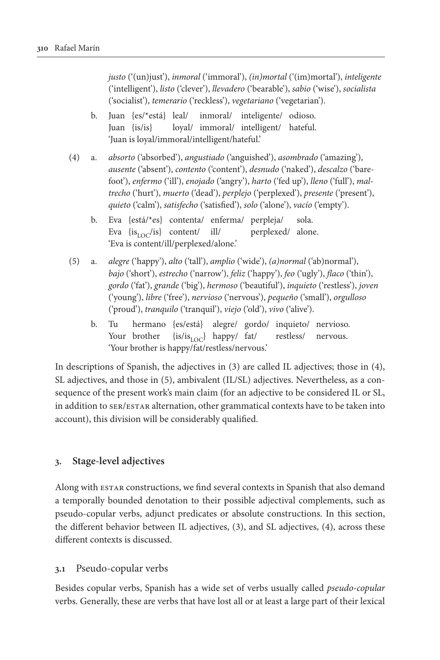*justo* ('(un)just'), *inmoral* ('immoral'), *(in)mortal* ('(im)mortal'), *inteligente* ('intelligent'), *listo* ('clever'), *llevadero* ('bearable'), *sabio* ('wise'), *socialista* ('socialist'), *temerario* ('reckless'), *vegetariano* ('vegetarian').

- b. Juan {es/\*está} leal/ inmoral/ inteligente/ odioso. Juan {is/is} loyal/ immoral/ intelligent/ hateful. 'Juan is loyal/immoral/intelligent/hateful.'
- (4) a. *absorto* ('absorbed'), *angustiado* ('anguished'), *asombrado* ('amazing'), *ausente* ('absent'), *contento* ('content'), *desnudo* ('naked'), *descalzo* ('barefoot'), *enfermo* ('ill'), *enojado* ('angry'), *harto* ('fed up'), *lleno* ('full'), *maltrecho* ('hurt'), *muerto* ('dead'), *perplejo* ('perplexed'), *presente* ('present'), *quieto* ('calm'), *satisfecho* ('satisfied'), *solo* ('alone'), *vacío* ('empty').
	- b. Eva {está/\*es} contenta/ enferma/ perpleja/ sola. Eva  $\{is_{\text{LOC}}/is\}$  content/ ill/ perplexed/ alone. 'Eva is content/ill/perplexed/alone.'
- (5) a. *alegre* ('happy'), *alto* ('tall'), *amplio* ('wide'), *(a)normal* ('ab)normal'), *bajo* ('short'), *estrecho* ('narrow'), *feliz* ('happy'), *feo* ('ugly'), *flaco* ('thin'), *gordo* ('fat'), *grande* ('big'), *hermoso* ('beautiful'), *inquieto* ('restless'), *joven* ('young'), *libre* ('free'), *nervioso* ('nervous'), *pequeño* ('small'), *orgulloso* ('proud'), *tranquilo* ('tranquil'), *viejo* ('old'), *vivo* ('alive').
	- b. Tu hermano {es/está} alegre/ gordo/ inquieto/ nervioso. Your brother  $\{is/is_{\text{LOC}}\}$  happy/ fat/ restless/ nervous. 'Your brother is happy/fat/restless/nervous.'

In descriptions of Spanish, the adjectives in (3) are called IL adjectives; those in (4), SL adjectives, and those in (5), ambivalent (IL/SL) adjectives. Nevertheless, as a consequence of the present work's main claim (for an adjective to be considered IL or SL, in addition to ser/estar alternation, other grammatical contexts have to be taken into account), this division will be considerably qualified.

# **3. Stage-level adjectives**

Along with estar constructions, we find several contexts in Spanish that also demand a temporally bounded denotation to their possible adjectival complements, such as pseudo-copular verbs, adjunct predicates or absolute constructions. In this section, the different behavior between IL adjectives, (3), and SL adjectives, (4), across these different contexts is discussed.

# **3.1** Pseudo-copular verbs

Besides copular verbs, Spanish has a wide set of verbs usually called *pseudo-copular* verbs. Generally, these are verbs that have lost all or at least a large part of their lexical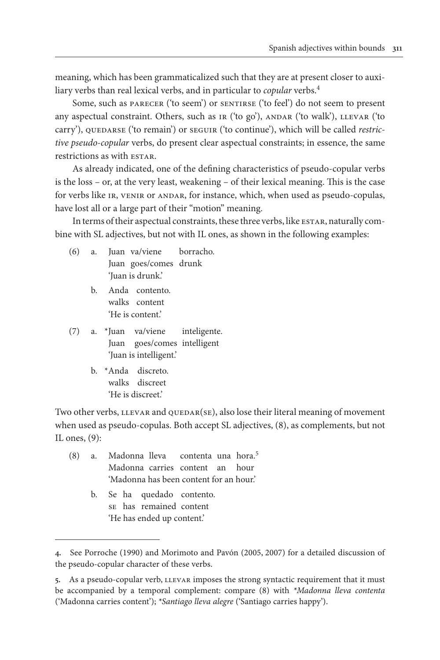meaning, which has been grammaticalized such that they are at present closer to auxiliary verbs than real lexical verbs, and in particular to *copular* verbs.<sup>4</sup>

Some, such as PARECER ('to seem') or SENTIRSE ('to feel') do not seem to present any aspectual constraint. Others, such as IR ('to go'), ANDAR ('to walk'), LLEVAR ('to carry'), QUEDARSE ('to remain') or seguir ('to continue'), which will be called *restrictive pseudo-copular* verbs, do present clear aspectual constraints; in essence, the same restrictions as with ESTAR.

As already indicated, one of the defining characteristics of pseudo-copular verbs is the loss – or, at the very least, weakening – of their lexical meaning. This is the case for verbs like IR, VENIR or ANDAR, for instance, which, when used as pseudo-copulas, have lost all or a large part of their "motion" meaning.

In terms of their aspectual constraints, these three verbs, like estar, naturally combine with SL adjectives, but not with IL ones, as shown in the following examples:

- (6) a. Juan va/viene borracho. Juan goes/comes drunk 'Juan is drunk.'
	- b. Anda contento. walks content 'He is content.'
- (7) a. \*Juan va/viene inteligente. Juan goes/comes intelligent 'Juan is intelligent.'
	- b. \*Anda discreto. walks discreet 'He is discreet.'

Two other verbs, LLEVAR and QUEDAR(SE), also lose their literal meaning of movement when used as pseudo-copulas. Both accept SL adjectives, (8), as complements, but not IL ones, (9):

- (8) a. Madonna lleva contenta una hora.<sup>5</sup> Madonna carries content an hour 'Madonna has been content for an hour.'
	- b. Se ha quedado contento. se has remained content 'He has ended up content.'

**<sup>4.</sup>** See Porroche (1990) and Morimoto and Pavón (2005, 2007) for a detailed discussion of the pseudo-copular character of these verbs.

<sup>5.</sup> As a pseudo-copular verb, LLEVAR imposes the strong syntactic requirement that it must be accompanied by a temporal complement: compare (8) with *\*Madonna lleva contenta* ('Madonna carries content'); *\*Santiago lleva alegre* ('Santiago carries happy').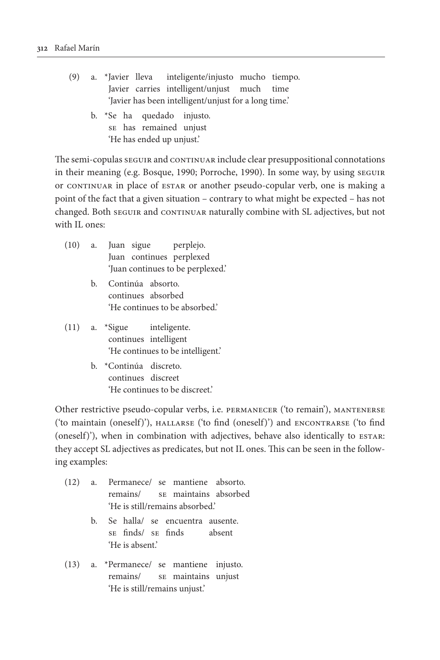- (9) a. \*Javier lleva inteligente/injusto mucho tiempo. Javier carries intelligent/unjust much time 'Javier has been intelligent/unjust for a long time.' b. \*Se ha quedado injusto.
	- se has remained unjust 'He has ended up unjust.'

The semi-copulas seguir and continuar include clear presuppositional connotations in their meaning (e.g. Bosque, 1990; Porroche, 1990). In some way, by using seguir or continuar in place of estar or another pseudo-copular verb, one is making a point of the fact that a given situation – contrary to what might be expected – has not changed. Both seguir and continuar naturally combine with SL adjectives, but not with IL ones:

- (10) a. Juan sigue perplejo. Juan continues perplexed 'Juan continues to be perplexed.'
	- b. Continúa absorto. continues absorbed 'He continues to be absorbed.'
- (11) a. \*Sigue inteligente. continues intelligent 'He continues to be intelligent.'
	- b. \*Continúa discreto. continues discreet 'He continues to be discreet.'

Other restrictive pseudo-copular verbs, i.e. permanecer ('to remain'), mantenerse ('to maintain (oneself)'), hallarse ('to find (oneself)') and encontrarse ('to find (oneself)'), when in combination with adjectives, behave also identically to ESTAR: they accept SL adjectives as predicates, but not IL ones. This can be seen in the following examples:

- (12) a. Permanece/ se mantiene absorto. remains/ se maintains absorbed 'He is still/remains absorbed.'
	- b. Se halla/ se encuentra ausente. se finds/ se finds absent 'He is absent.'
- (13) a. \*Permanece/ se mantiene injusto. remains/ se maintains unjust 'He is still/remains unjust.'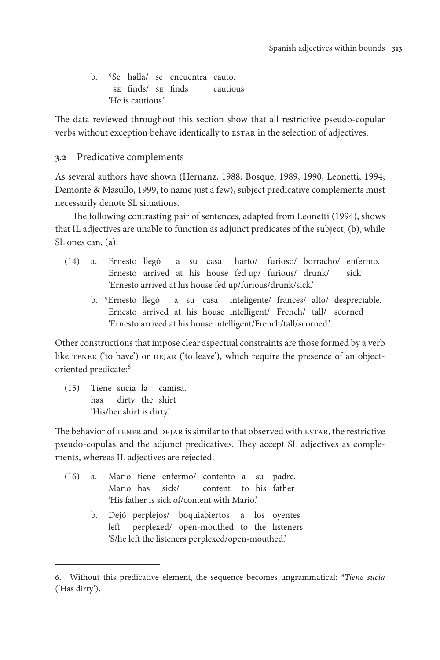b. \*Se halla/ se encuentra cauto. se finds/ se finds cautious 'He is cautious.'

The data reviewed throughout this section show that all restrictive pseudo-copular verbs without exception behave identically to ESTAR in the selection of adjectives.

# **3.2** Predicative complements

As several authors have shown (Hernanz, 1988; Bosque, 1989, 1990; Leonetti, 1994; Demonte & Masullo, 1999, to name just a few), subject predicative complements must necessarily denote SL situations.

The following contrasting pair of sentences, adapted from Leonetti (1994), shows that IL adjectives are unable to function as adjunct predicates of the subject, (b), while SL ones can, (a):

- (14) a. Ernesto llegó a su casa harto/ furioso/ borracho/ enfermo. Ernesto arrived at his house fed up/ furious/ drunk/ sick 'Ernesto arrived at his house fed up/furious/drunk/sick.'
	- b. \*Ernesto llegó a su casa inteligente/ francés/ alto/ despreciable. Ernesto arrived at his house intelligent/ French/ tall/ scorned 'Ernesto arrived at his house intelligent/French/tall/scorned.'

Other constructions that impose clear aspectual constraints are those formed by a verb like  $TENER$  ('to have') or  $DEJAR$  ('to leave'), which require the presence of an objectoriented predicate:6

(15) Tiene sucia la camisa. has dirty the shirt 'His/her shirt is dirty.'

The behavior of TENER and DEJAR is similar to that observed with ESTAR, the restrictive pseudo-copulas and the adjunct predicatives. They accept SL adjectives as complements, whereas IL adjectives are rejected:

- (16) a. Mario tiene enfermo/ contento a su padre. Mario has sick/ content to his father 'His father is sick of/content with Mario.'
	- b. Dejó perplejos/ boquiabiertos a los oyentes. left perplexed/ open-mouthed to the listeners 'S/he left the listeners perplexed/open-mouthed.'

**<sup>6.</sup>** Without this predicative element, the sequence becomes ungrammatical: *\*Tiene sucia* ('Has dirty').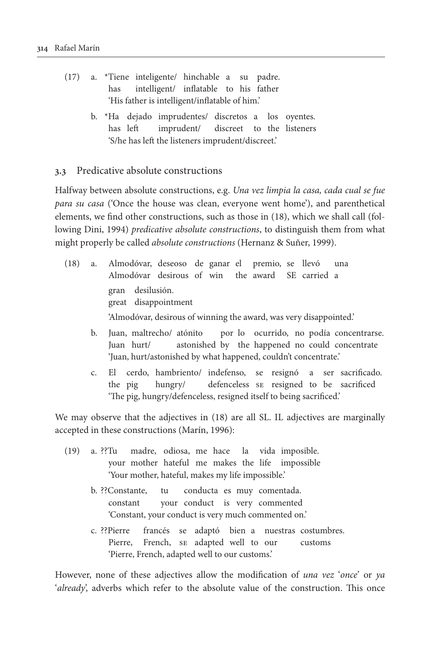- (17) a. \*Tiene inteligente/ hinchable a su padre. has intelligent/ inflatable to his father 'His father is intelligent/inflatable of him.'
	- b. \*Ha dejado imprudentes/ discretos a los oyentes. has left imprudent/ discreet to the listeners 'S/he has left the listeners imprudent/discreet.'

#### **3.3** Predicative absolute constructions

Halfway between absolute constructions, e.g. *Una vez limpia la casa, cada cual se fue para su casa* ('Once the house was clean, everyone went home'), and parenthetical elements, we find other constructions, such as those in (18), which we shall call (following Dini, 1994) *predicative absolute constructions*, to distinguish them from what might properly be called *absolute constructions* (Hernanz & Suñer, 1999).

- (18) a. Almodóvar, deseoso de ganar el premio, se llevó una Almodóvar desirous of win the award SE carried a gran desilusión. great disappointment 'Almodóvar, desirous of winning the award, was very disappointed.'
	- b. Juan, maltrecho/ atónito por lo ocurrido, no podía concentrarse. Juan hurt/ astonished by the happened no could concentrate 'Juan, hurt/astonished by what happened, couldn't concentrate.'
	- c. El cerdo, hambriento/ indefenso, se resignó a ser sacrificado. the pig hungry/ defenceless se resigned to be sacrificed 'The pig, hungry/defenceless, resigned itself to being sacrificed.'

We may observe that the adjectives in (18) are all SL. IL adjectives are marginally accepted in these constructions (Marín, 1996):

- (19) a. ??Tu madre, odiosa, me hace la vida imposible. your mother hateful me makes the life impossible 'Your mother, hateful, makes my life impossible.'
	- b. ??Constante, tu conducta es muy comentada. constant your conduct is very commented 'Constant, your conduct is very much commented on.'
	- c. ??Pierre francés se adaptó bien a nuestras costumbres. Pierre, French, se adapted well to our customs 'Pierre, French, adapted well to our customs.'

However, none of these adjectives allow the modification of *una vez* '*once*' or *ya*  '*already*', adverbs which refer to the absolute value of the construction. This once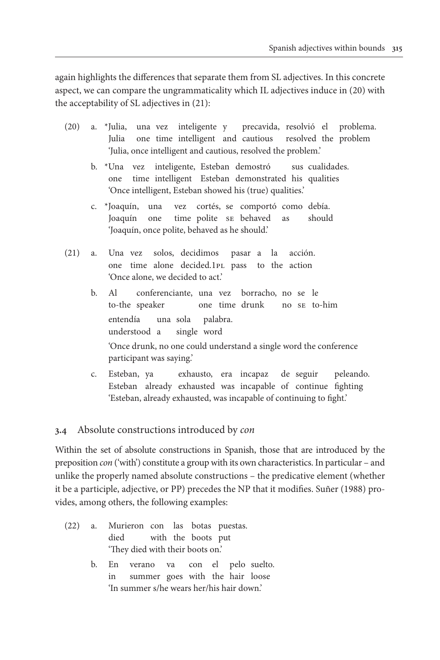again highlights the differences that separate them from SL adjectives. In this concrete aspect, we can compare the ungrammaticality which IL adjectives induce in (20) with the acceptability of SL adjectives in (21):

- (20) a. \*Julia, una vez inteligente y precavida, resolvió el problema. Julia one time intelligent and cautious resolved the problem 'Julia, once intelligent and cautious, resolved the problem.'
	- b. \*Una vez inteligente, Esteban demostró sus cualidades. one time intelligent Esteban demonstrated his qualities 'Once intelligent, Esteban showed his (true) qualities.'
	- c. \*Joaquín, una vez cortés, se comportó como debía. Joaquín one time polite se behaved as should 'Joaquín, once polite, behaved as he should.'
- (21) a. Una vez solos, decidimos pasar a la acción. one time alone decided.1pl pass to the action 'Once alone, we decided to act.'
	- b. Al conferenciante, una vez borracho, no se le to-the speaker one time drunk no se to-him entendía una sola palabra. understood a single word 'Once drunk, no one could understand a single word the conference participant was saying.'
	- c. Esteban, ya exhausto, era incapaz de seguir peleando. Esteban already exhausted was incapable of continue fighting 'Esteban, already exhausted, was incapable of continuing to fight.'

# **3.4** Absolute constructions introduced by *con*

Within the set of absolute constructions in Spanish, those that are introduced by the preposition *con* ('with') constitute a group with its own characteristics. In particular – and unlike the properly named absolute constructions – the predicative element (whether it be a participle, adjective, or PP) precedes the NP that it modifies. Suñer (1988) provides, among others, the following examples:

- (22) a. Murieron con las botas puestas. died with the boots put 'They died with their boots on.'
	- b. En verano va con el pelo suelto. in summer goes with the hair loose 'In summer s/he wears her/his hair down.'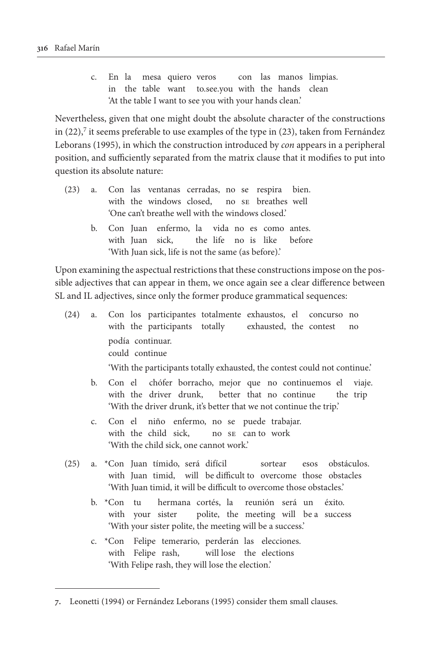c. En la mesa quiero veros con las manos limpias. in the table want to.see.you with the hands clean 'At the table I want to see you with your hands clean.'

Nevertheless, given that one might doubt the absolute character of the constructions in  $(22)$ ,<sup>7</sup> it seems preferable to use examples of the type in  $(23)$ , taken from Fernández Leborans (1995), in which the construction introduced by *con* appears in a peripheral position, and sufficiently separated from the matrix clause that it modifies to put into question its absolute nature:

- (23) a. Con las ventanas cerradas, no se respira bien. with the windows closed, no se breathes well 'One can't breathe well with the windows closed.'
	- b. Con Juan enfermo, la vida no es como antes. with Juan sick, the life no is like before 'With Juan sick, life is not the same (as before).'

Upon examining the aspectual restrictions that these constructions impose on the possible adjectives that can appear in them, we once again see a clear difference between SL and IL adjectives, since only the former produce grammatical sequences:

- (24) a. Con los participantes totalmente exhaustos, el concurso no with the participants totally exhausted, the contest no podía continuar. could continue 'With the participants totally exhausted, the contest could not continue.'
	- b. Con el chófer borracho, mejor que no continuemos el viaje. with the driver drunk, better that no continue the trip 'With the driver drunk, it's better that we not continue the trip.'
	- c. Con el niño enfermo, no se puede trabajar. with the child sick, no se can to work 'With the child sick, one cannot work.'
- (25) a. \*Con Juan tímido, será difícil sortear esos obstáculos. with Juan timid, will be difficult to overcome those obstacles 'With Juan timid, it will be difficult to overcome those obstacles.'
	- b. \*Con tu hermana cortés, la reunión será un éxito. with your sister polite, the meeting will be a success 'With your sister polite, the meeting will be a success.'
	- c. \*Con Felipe temerario, perderán las elecciones. with Felipe rash, will lose the elections 'With Felipe rash, they will lose the election.'

**<sup>7.</sup>** Leonetti (1994) or Fernández Leborans (1995) consider them small clauses.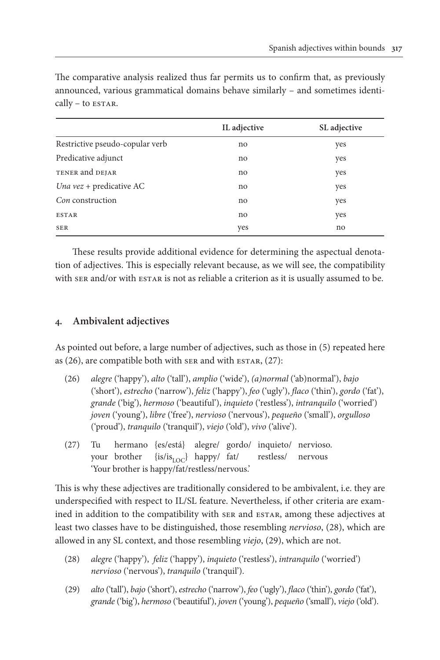|                                 | IL adjective | SL adjective |
|---------------------------------|--------------|--------------|
| Restrictive pseudo-copular verb | no           | yes          |
| Predicative adjunct             | no           | yes          |
| TENER and DEJAR                 | no           | yes          |
| Una $vez +$ predicative AC      | no           | yes          |
| Con construction                | no           | yes          |
| <b>ESTAR</b>                    | no           | yes          |
| <b>SER</b>                      | yes          | no           |

The comparative analysis realized thus far permits us to confirm that, as previously announced, various grammatical domains behave similarly – and sometimes identi- $\text{callv}$  – to  $\text{ESTAR}$ .

These results provide additional evidence for determining the aspectual denotation of adjectives. This is especially relevant because, as we will see, the compatibility with ser and/or with ESTAR is not as reliable a criterion as it is usually assumed to be.

# **4. Ambivalent adjectives**

As pointed out before, a large number of adjectives, such as those in (5) repeated here as  $(26)$ , are compatible both with seral with estar,  $(27)$ :

- (26) *alegre* ('happy'), *alto* ('tall'), *amplio* ('wide'), *(a)normal* ('ab)normal'), *bajo* ('short'), *estrecho* ('narrow'), *feliz* ('happy'), *feo* ('ugly'), *flaco* ('thin'), *gordo* ('fat'), *grande* ('big'), *hermoso* ('beautiful'), *inquieto* ('restless'), *intranquilo* ('worried') *joven* ('young'), *libre* ('free'), *nervioso* ('nervous'), *pequeño* ('small'), *orgulloso* ('proud'), *tranquilo* ('tranquil'), *viejo* ('old'), *vivo* ('alive').
- (27) Tu hermano {es/está} alegre/ gordo/ inquieto/ nervioso. your brother  $\{is/is_{\text{LOC}}\}$  happy/ fat/ restless/ nervous 'Your brother is happy/fat/restless/nervous.'

This is why these adjectives are traditionally considered to be ambivalent, i.e. they are underspecified with respect to IL/SL feature. Nevertheless, if other criteria are examined in addition to the compatibility with ser and ESTAR, among these adjectives at least two classes have to be distinguished, those resembling *nervioso*, (28), which are allowed in any SL context, and those resembling *viejo*, (29), which are not.

- (28) *alegre* ('happy'), *feliz* ('happy'), *inquieto* ('restless'), *intranquilo* ('worried') *nervioso* ('nervous'), *tranquilo* ('tranquil').
- (29) *alto* ('tall'), *bajo* ('short'), *estrecho* ('narrow'), *feo* ('ugly'), *flaco* ('thin'), *gordo* ('fat'), *grande* ('big'), *hermoso* ('beautiful'), *joven* ('young'), *pequeño* ('small'), *viejo* ('old').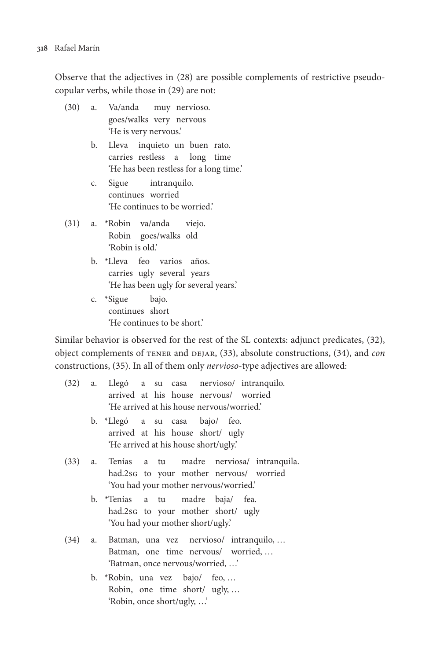Observe that the adjectives in (28) are possible complements of restrictive pseudocopular verbs, while those in (29) are not:

- (30) a. Va/anda muy nervioso. goes/walks very nervous 'He is very nervous.'
	- b. Lleva inquieto un buen rato. carries restless a long time 'He has been restless for a long time.'
	- c. Sigue intranquilo. continues worried 'He continues to be worried.'
- (31) a. \*Robin va/anda viejo. Robin goes/walks old 'Robin is old.'
	- b. \*Lleva feo varios años. carries ugly several years 'He has been ugly for several years.'
	- c. \*Sigue bajo. continues short 'He continues to be short.'

Similar behavior is observed for the rest of the SL contexts: adjunct predicates, (32), object complements of tener and dejar, (33), absolute constructions, (34), and *con* constructions, (35). In all of them only *nervioso*-type adjectives are allowed:

| (32) | a. Llegó a su casa nervioso/ intranquilo.   |
|------|---------------------------------------------|
|      | arrived at his house nervous/ worried       |
|      | 'He arrived at his house nervous/worried.'  |
|      | b. *Llegó a su casa bajo/ feo.              |
|      | arrived at his house short/ ugly            |
|      | 'He arrived at his house short/ugly.'       |
| (33) | a. Tenías a tu madre nerviosa/ intranquila. |
|      | had.2sG to your mother nervous/ worried     |
|      | 'You had your mother nervous/worried.'      |
|      | b. *Tenías a tu madre baja/ fea.            |
|      | had.2sg to your mother short/ ugly          |
|      | 'You had your mother short/ugly.'           |
| (34) | a. Batman, una vez nervioso/ intranquilo,   |
|      | Batman, one time nervous/ worried,          |
|      | 'Batman, once nervous/worried, '            |
|      |                                             |
|      | b. *Robin, una vez bajo/ feo,               |
|      | Robin, one time short/ ugly,                |
|      | 'Robin, once short/ugly, '                  |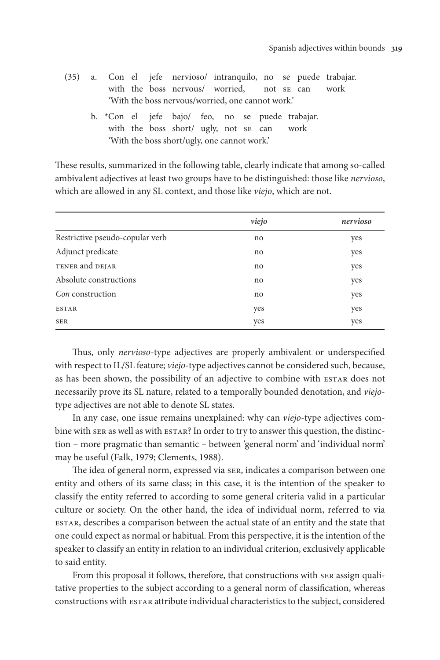|                                                   |  |  |  |  |                                                                                                       |  |  |  |  |  | (35) a. Con el jefe nervioso/ intranquilo, no se puede trabajar. |
|---------------------------------------------------|--|--|--|--|-------------------------------------------------------------------------------------------------------|--|--|--|--|--|------------------------------------------------------------------|
|                                                   |  |  |  |  | with the boss nervous/ worried, not se can work                                                       |  |  |  |  |  |                                                                  |
| 'With the boss nervous/worried, one cannot work.' |  |  |  |  |                                                                                                       |  |  |  |  |  |                                                                  |
|                                                   |  |  |  |  | b. $\star$ Con el jefe bajo/ feo, no se puede trabajar.<br>with the boss short/ ugly, not se can work |  |  |  |  |  |                                                                  |
| 'With the boss short/ugly, one cannot work.'      |  |  |  |  |                                                                                                       |  |  |  |  |  |                                                                  |

These results, summarized in the following table, clearly indicate that among so-called ambivalent adjectives at least two groups have to be distinguished: those like *nervioso*, which are allowed in any SL context, and those like *viejo*, which are not.

|                                 | viejo | nervioso |
|---------------------------------|-------|----------|
| Restrictive pseudo-copular verb | no    | yes      |
| Adjunct predicate               | no    | yes      |
| TENER and DEJAR                 | no    | yes      |
| Absolute constructions          | no    | yes      |
| Con construction                | no    | yes      |
| <b>ESTAR</b>                    | yes   | yes      |
| <b>SER</b>                      | yes   | yes      |

Thus, only *nervioso*-type adjectives are properly ambivalent or underspecified with respect to IL/SL feature; *viejo*-type adjectives cannot be considered such, because, as has been shown, the possibility of an adjective to combine with estar does not necessarily prove its SL nature, related to a temporally bounded denotation, and *viejo*type adjectives are not able to denote SL states.

In any case, one issue remains unexplained: why can *viejo*-type adjectives combine with ser as well as with ESTAR? In order to try to answer this question, the distinction – more pragmatic than semantic – between 'general norm' and 'individual norm' may be useful (Falk, 1979; Clements, 1988).

The idea of general norm, expressed via ser, indicates a comparison between one entity and others of its same class; in this case, it is the intention of the speaker to classify the entity referred to according to some general criteria valid in a particular culture or society. On the other hand, the idea of individual norm, referred to via estar, describes a comparison between the actual state of an entity and the state that one could expect as normal or habitual. From this perspective, it is the intention of the speaker to classify an entity in relation to an individual criterion, exclusively applicable to said entity.

From this proposal it follows, therefore, that constructions with ser assign qualitative properties to the subject according to a general norm of classification, whereas constructions with estar attribute individual characteristics to the subject, considered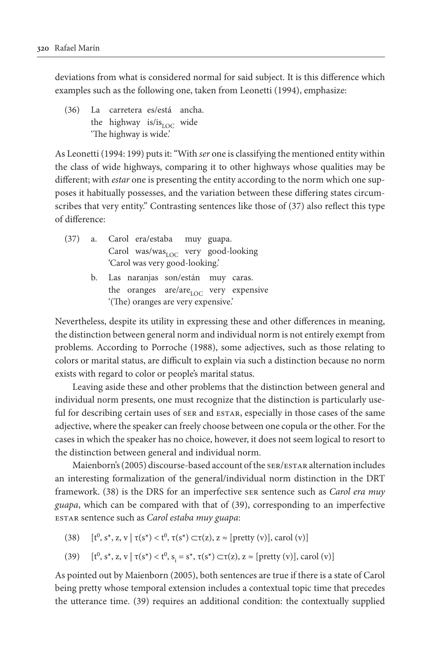deviations from what is considered normal for said subject. It is this difference which examples such as the following one, taken from Leonetti (1994), emphasize:

(36) La carretera es/está ancha. the highway is/is<sub>LOC</sub> wide 'The highway is wide.'

As Leonetti (1994: 199) puts it: "With *ser* one is classifying the mentioned entity within the class of wide highways, comparing it to other highways whose qualities may be different; with *estar* one is presenting the entity according to the norm which one supposes it habitually possesses, and the variation between these differing states circumscribes that very entity." Contrasting sentences like those of (37) also reflect this type of difference:

- (37) a. Carol era/estaba muy guapa. Carol was/was $_{\text{LOC}}$  very good-looking 'Carol was very good-looking.'
	- b. Las naranjas son/están muy caras. the oranges are/are<sub>LOC</sub> very expensive '(The) oranges are very expensive.'

Nevertheless, despite its utility in expressing these and other differences in meaning, the distinction between general norm and individual norm is not entirely exempt from problems. According to Porroche (1988), some adjectives, such as those relating to colors or marital status, are difficult to explain via such a distinction because no norm exists with regard to color or people's marital status.

Leaving aside these and other problems that the distinction between general and individual norm presents, one must recognize that the distinction is particularly useful for describing certain uses of ser and ESTAR, especially in those cases of the same adjective, where the speaker can freely choose between one copula or the other. For the cases in which the speaker has no choice, however, it does not seem logical to resort to the distinction between general and individual norm.

Maienborn's (2005) discourse-based account of the ser/estar alternation includes an interesting formalization of the general/individual norm distinction in the DRT framework. (38) is the DRS for an imperfective ser sentence such as *Carol era muy guapa*, which can be compared with that of (39), corresponding to an imperfective estar sentence such as *Carol estaba muy guapa*:

- (38)  $[t^0, s^*, z, v \mid \tau(s^*) < t^0, \tau(s^*) \subset \tau(z), z \approx [ \text{pretty}(v)], \text{card}(v) ]$
- (39)  $[t^0, s^*, z, v \mid \tau(s^*) < t^0, s_i = s^*, \tau(s^*) \subset \tau(z), z \approx [\text{pretty}(v)], \text{card}(v)]$

As pointed out by Maienborn (2005), both sentences are true if there is a state of Carol being pretty whose temporal extension includes a contextual topic time that precedes the utterance time. (39) requires an additional condition: the contextually supplied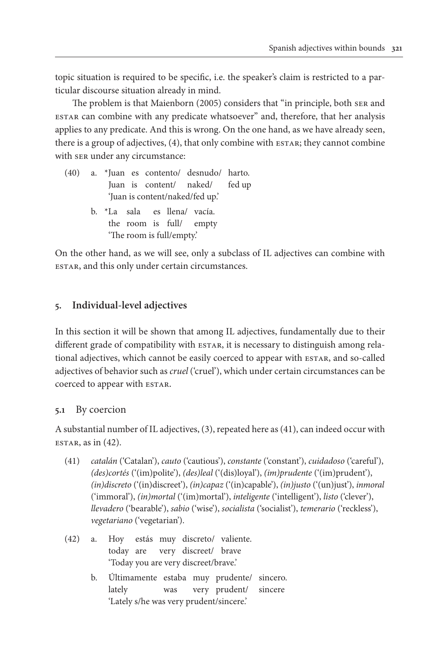topic situation is required to be specific, i.e. the speaker's claim is restricted to a particular discourse situation already in mind.

The problem is that Maienborn (2005) considers that "in principle, both ser and estar can combine with any predicate whatsoever" and, therefore, that her analysis applies to any predicate. And this is wrong. On the one hand, as we have already seen, there is a group of adjectives, (4), that only combine with ESTAR; they cannot combine with ser under any circumstance:

- (40) a. \*Juan es contento/ desnudo/ harto. Juan is content/ naked/ fed up 'Juan is content/naked/fed up.'
	- b. \*La sala es llena/ vacía. the room is full/ empty 'The room is full/empty.'

On the other hand, as we will see, only a subclass of IL adjectives can combine with estar, and this only under certain circumstances.

# **5. Individual-level adjectives**

In this section it will be shown that among IL adjectives, fundamentally due to their different grade of compatibility with ESTAR, it is necessary to distinguish among relational adjectives, which cannot be easily coerced to appear with ESTAR, and so-called adjectives of behavior such as *cruel* ('cruel'), which under certain circumstances can be coerced to appear with ESTAR.

# **5.1** By coercion

A substantial number of IL adjectives, (3), repeated here as (41), can indeed occur with  $ESTAR$ , as in  $(42)$ .

- (41) *catalán* ('Catalan'), *cauto* ('cautious'), *constante* ('constant'), *cuidadoso* ('careful'), *(des)cortés* ('(im)polite'), *(des)leal* ('(dis)loyal'), *(im)prudente* ('(im)prudent'), *(in)discreto* ('(in)discreet'), *(in)capaz* ('(in)capable'), *(in)justo* ('(un)just'), *inmoral* ('immoral'), *(in)mortal* ('(im)mortal'), *inteligente* ('intelligent'), *listo* ('clever'), *llevadero* ('bearable'), *sabio* ('wise'), *socialista* ('socialist'), *temerario* ('reckless'), *vegetariano* ('vegetarian').
- (42) a. Hoy estás muy discreto/ valiente. today are very discreet/ brave 'Today you are very discreet/brave.'
	- b. Últimamente estaba muy prudente/ sincero. lately was very prudent/ sincere 'Lately s/he was very prudent/sincere.'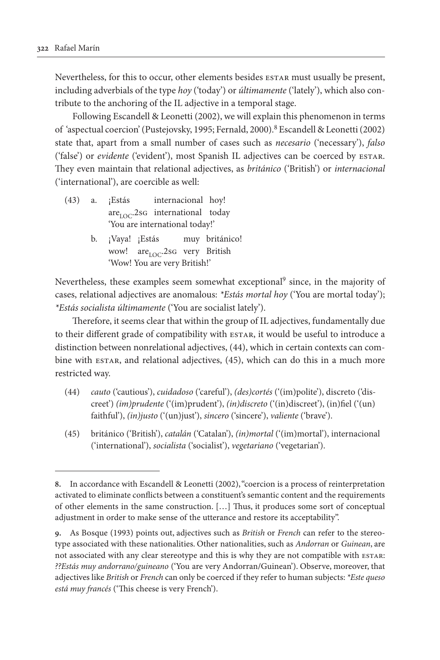Nevertheless, for this to occur, other elements besides estar must usually be present, including adverbials of the type *hoy* ('today') or *últimamente* ('lately'), which also contribute to the anchoring of the IL adjective in a temporal stage.

Following Escandell & Leonetti (2002), we will explain this phenomenon in terms of 'aspectual coercion' (Pustejovsky, 1995; Fernald, 2000).8 Escandell & Leonetti (2002) state that, apart from a small number of cases such as *necesario* ('necessary'), *falso* ('false') or *evidente* ('evident'), most Spanish IL adjectives can be coerced by estar. They even maintain that relational adjectives, as *británico* ('British') or *internacional* ('international'), are coercible as well:

- (43) a. ¡Estás internacional hoy!  $are<sub>LOC</sub>$ .2sg international today 'You are international today!'
	- b. ¡Vaya! ¡Estás muy británico! wow! are LOC.2sG very British 'Wow! You are very British!'

Nevertheless, these examples seem somewhat exceptional<sup>9</sup> since, in the majority of cases, relational adjectives are anomalous: *\*Estás mortal hoy* ('You are mortal today'); *\*Estás socialista últimamente* ('You are socialist lately').

Therefore, it seems clear that within the group of IL adjectives, fundamentally due to their different grade of compatibility with ESTAR, it would be useful to introduce a distinction between nonrelational adjectives, (44), which in certain contexts can combine with estar, and relational adjectives, (45), which can do this in a much more restricted way.

- (44) *cauto* ('cautious'), *cuidadoso* ('careful'), *(des)cortés* ('(im)polite'), discreto ('discreet') *(im)prudente* ('(im)prudent'), *(in)discreto* ('(in)discreet'), (in)fiel ('(un) faithful'), *(in)justo* ('(un)just'), *sincero* ('sincere'), *valiente* ('brave').
- (45) británico ('British'), *catalán* ('Catalan'), *(in)mortal* ('(im)mortal'), internacional ('international'), *socialista* ('socialist'), *vegetariano* ('vegetarian').

**<sup>8.</sup>** In accordance with Escandell & Leonetti (2002), "coercion is a process of reinterpretation activated to eliminate conflicts between a constituent's semantic content and the requirements of other elements in the same construction. […] Thus, it produces some sort of conceptual adjustment in order to make sense of the utterance and restore its acceptability".

**<sup>9.</sup>** As Bosque (1993) points out, adjectives such as *British* or *French* can refer to the stereotype associated with these nationalities. Other nationalities, such as *Andorran* or *Guinean*, are not associated with any clear stereotype and this is why they are not compatible with estar: *??Estás muy andorrano/guineano* ('You are very Andorran/Guinean'). Observe, moreover, that adjectives like *British* or *French* can only be coerced if they refer to human subjects: *\*Este queso está muy francés* ('This cheese is very French').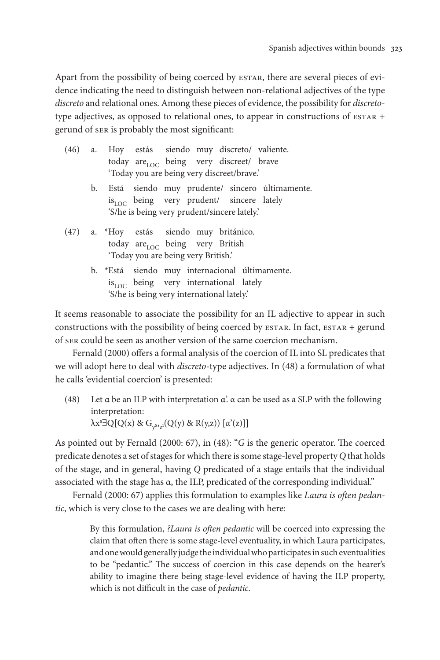Apart from the possibility of being coerced by ESTAR, there are several pieces of evidence indicating the need to distinguish between non-relational adjectives of the type *discreto* and relational ones. Among these pieces of evidence, the possibility for *discreto*type adjectives, as opposed to relational ones, to appear in constructions of  $ESTAR$  + gerund of ser is probably the most significant:

|                                     |  |  |                                  |  |  | (46) a. Hoy estás siendo muy discreto/ valiente.     |                                                   |
|-------------------------------------|--|--|----------------------------------|--|--|------------------------------------------------------|---------------------------------------------------|
|                                     |  |  |                                  |  |  | today are roc being very discreet/ brave             |                                                   |
|                                     |  |  |                                  |  |  | 'Today you are being very discreet/brave.'           |                                                   |
|                                     |  |  |                                  |  |  |                                                      | b. Está siendo muy prudente/ sincero últimamente. |
|                                     |  |  |                                  |  |  | is <sub>LOC</sub> being very prudent/ sincere lately |                                                   |
|                                     |  |  |                                  |  |  | 'S/he is being very prudent/sincere lately.'         |                                                   |
|                                     |  |  |                                  |  |  | (47) a. *Hoy estás siendo muy británico.             |                                                   |
|                                     |  |  | today are LOC being very British |  |  |                                                      |                                                   |
| 'Today you are being very British.' |  |  |                                  |  |  |                                                      |                                                   |
|                                     |  |  |                                  |  |  |                                                      | b. *Está siendo muy internacional últimamente.    |
|                                     |  |  |                                  |  |  | $is_{\rm LOC}$ being very international lately       |                                                   |
|                                     |  |  |                                  |  |  | 'S/he is being very international lately.'           |                                                   |

It seems reasonable to associate the possibility for an IL adjective to appear in such constructions with the possibility of being coerced by ESTAR. In fact, ESTAR + gerund of ser could be seen as another version of the same coercion mechanism.

Fernald (2000) offers a formal analysis of the coercion of IL into SL predicates that we will adopt here to deal with *discreto*-type adjectives. In (48) a formulation of what he calls 'evidential coercion' is presented:

(48) Let  $\alpha$  be an ILP with interpretation  $\alpha'$ .  $\alpha$  can be used as a SLP with the following interpretation:  $\lambda x^s \exists Q [Q(x) \& G_{y^s z^i}(Q(y) \& R(y,z)) [\alpha'(z)]]$ 

As pointed out by Fernald (2000: 67), in (48): "*G* is the generic operator. The coerced predicate denotes a set of stages for which there is some stage-level property *Q* that holds of the stage, and in general, having *Q* predicated of a stage entails that the individual associated with the stage has α, the ILP, predicated of the corresponding individual."

Fernald (2000: 67) applies this formulation to examples like *Laura is often pedantic*, which is very close to the cases we are dealing with here:

> By this formulation, *?Laura is often pedantic* will be coerced into expressing the claim that often there is some stage-level eventuality, in which Laura participates, and one would generally judge the individual who participates in such eventualities to be "pedantic." The success of coercion in this case depends on the hearer's ability to imagine there being stage-level evidence of having the ILP property, which is not difficult in the case of *pedantic*.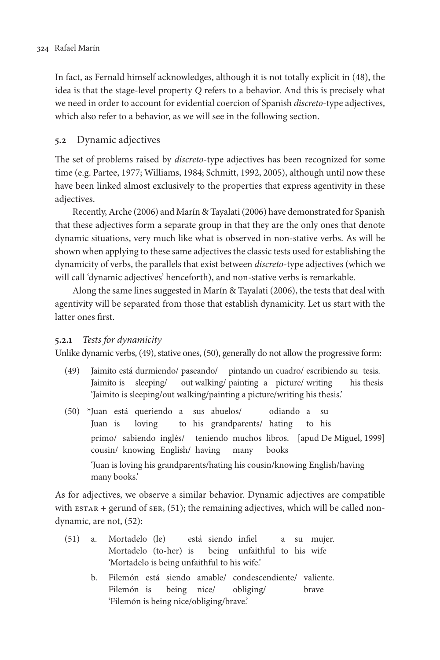In fact, as Fernald himself acknowledges, although it is not totally explicit in (48), the idea is that the stage-level property *Q* refers to a behavior. And this is precisely what we need in order to account for evidential coercion of Spanish *discreto*-type adjectives, which also refer to a behavior, as we will see in the following section.

## **5.2** Dynamic adjectives

The set of problems raised by *discreto*-type adjectives has been recognized for some time (e.g. Partee, 1977; Williams, 1984; Schmitt, 1992, 2005), although until now these have been linked almost exclusively to the properties that express agentivity in these adjectives.

Recently, Arche (2006) and Marín & Tayalati (2006) have demonstrated for Spanish that these adjectives form a separate group in that they are the only ones that denote dynamic situations, very much like what is observed in non-stative verbs. As will be shown when applying to these same adjectives the classic tests used for establishing the dynamicity of verbs, the parallels that exist between *discreto*-type adjectives (which we will call 'dynamic adjectives' henceforth), and non-stative verbs is remarkable.

Along the same lines suggested in Marín & Tayalati (2006), the tests that deal with agentivity will be separated from those that establish dynamicity. Let us start with the latter ones first.

### **5.2.1** *Tests for dynamicity*

Unlike dynamic verbs, (49), stative ones, (50), generally do not allow the progressive form:

- (49) Jaimito está durmiendo/ paseando/ pintando un cuadro/ escribiendo su tesis. Jaimito is sleeping/ out walking/ painting a picture/ writing his thesis 'Jaimito is sleeping/out walking/painting a picture/writing his thesis.'
- (50) \*Juan está queriendo a sus abuelos/ odiando a su Juan is loving to his grandparents/ hating to his primo/ sabiendo inglés/ teniendo muchos libros. [apud De Miguel, 1999] cousin/ knowing English/ having many books 'Juan is loving his grandparents/hating his cousin/knowing English/having many books.'

As for adjectives, we observe a similar behavior. Dynamic adjectives are compatible with  $ESTAR + gerund$  of  $SER$ ,  $(51)$ ; the remaining adjectives, which will be called nondynamic, are not, (52):

- (51) a. Mortadelo (le) está siendo infiel a su mujer. Mortadelo (to-her) is being unfaithful to his wife 'Mortadelo is being unfaithful to his wife.'
	- b. Filemón está siendo amable/ condescendiente/ valiente. Filemón is being nice/ obliging/ brave 'Filemón is being nice/obliging/brave.'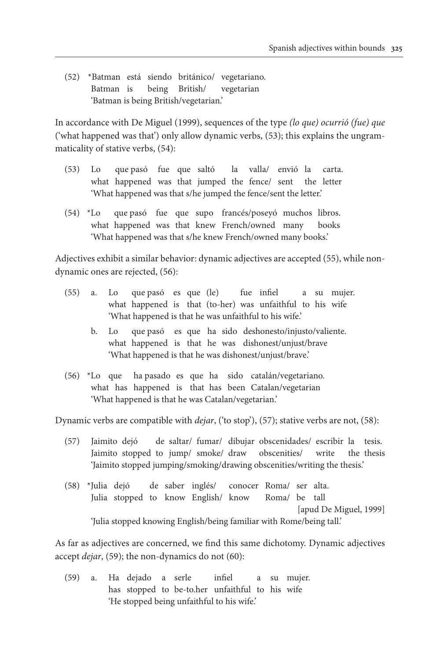(52) \*Batman está siendo británico/ vegetariano. Batman is being British/ vegetarian 'Batman is being British/vegetarian.'

In accordance with De Miguel (1999), sequences of the type *(lo que) ocurrió (fue) que* ('what happened was that') only allow dynamic verbs, (53); this explains the ungrammaticality of stative verbs, (54):

- (53) Lo que pasó fue que saltó la valla/ envió la carta. what happened was that jumped the fence/ sent the letter 'What happened was that s/he jumped the fence/sent the letter.'
- (54) \*Lo que pasó fue que supo francés/poseyó muchos libros. what happened was that knew French/owned many books 'What happened was that s/he knew French/owned many books.'

Adjectives exhibit a similar behavior: dynamic adjectives are accepted (55), while nondynamic ones are rejected, (56):

- (55) a. Lo que pasó es que (le) fue infiel a su mujer. what happened is that (to-her) was unfaithful to his wife 'What happened is that he was unfaithful to his wife.'
	- b. Lo que pasó es que ha sido deshonesto/injusto/valiente. what happened is that he was dishonest/unjust/brave 'What happened is that he was dishonest/unjust/brave.'
- (56) \*Lo que ha pasado es que ha sido catalán/vegetariano. what has happened is that has been Catalan/vegetarian 'What happened is that he was Catalan/vegetarian.'

Dynamic verbs are compatible with *dejar*, ('to stop'), (57); stative verbs are not, (58):

- (57) Jaimito dejó de saltar/ fumar/ dibujar obscenidades/ escribir la tesis. Jaimito stopped to jump/ smoke/ draw obscenities/ write the thesis 'Jaimito stopped jumping/smoking/drawing obscenities/writing the thesis.'
- (58) \*Julia dejó de saber inglés/ conocer Roma/ ser alta. Julia stopped to know English/ know Roma/ be tall [apud De Miguel, 1999] 'Julia stopped knowing English/being familiar with Rome/being tall.'

As far as adjectives are concerned, we find this same dichotomy. Dynamic adjectives accept *dejar*, (59); the non-dynamics do not (60):

(59) a. Ha dejado a serle infiel a su mujer. has stopped to be-to.her unfaithful to his wife 'He stopped being unfaithful to his wife.'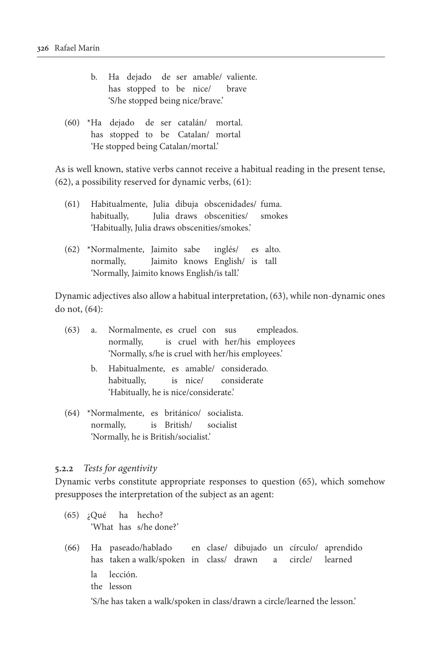- b. Ha dejado de ser amable/ valiente. has stopped to be nice/ brave 'S/he stopped being nice/brave.'
- (60) \*Ha dejado de ser catalán/ mortal. has stopped to be Catalan/ mortal 'He stopped being Catalan/mortal.'

As is well known, stative verbs cannot receive a habitual reading in the present tense, (62), a possibility reserved for dynamic verbs, (61):

- (61) Habitualmente, Julia dibuja obscenidades/ fuma. habitually, Julia draws obscenities/ smokes 'Habitually, Julia draws obscenities/smokes.'
- (62) \*Normalmente, Jaimito sabe inglés/ es alto. normally, Jaimito knows English/ is tall 'Normally, Jaimito knows English/is tall.'

Dynamic adjectives also allow a habitual interpretation, (63), while non-dynamic ones do not, (64):

| (63) |                                                   | a. Normalmente, es cruel con sus empleados. |  |  |  |  |  |  |
|------|---------------------------------------------------|---------------------------------------------|--|--|--|--|--|--|
|      |                                                   | normally, is cruel with her/his employees   |  |  |  |  |  |  |
|      | 'Normally, s/he is cruel with her/his employees.' |                                             |  |  |  |  |  |  |
|      | b.                                                | Habitualmente, es amable/ considerado.      |  |  |  |  |  |  |
|      |                                                   | habitually, is nice/ considerate            |  |  |  |  |  |  |
|      |                                                   | 'Habitually, he is nice/considerate.'       |  |  |  |  |  |  |
| (64) |                                                   | *Normalmente, es británico/ socialista.     |  |  |  |  |  |  |
|      |                                                   | normally, is British/ socialist             |  |  |  |  |  |  |
|      |                                                   | 'Normally, he is British/socialist.'        |  |  |  |  |  |  |

#### **5.2.2** *Tests for agentivity*

Dynamic verbs constitute appropriate responses to question (65), which somehow presupposes the interpretation of the subject as an agent:

- (65) ¿Qué ha hecho? 'What has s/he done?'
- (66) Ha paseado/hablado en clase/ dibujado un círculo/ aprendido has taken a walk/spoken in class/ drawn a circle/ learned la lección. the lesson 'S/he has taken a walk/spoken in class/drawn a circle/learned the lesson.'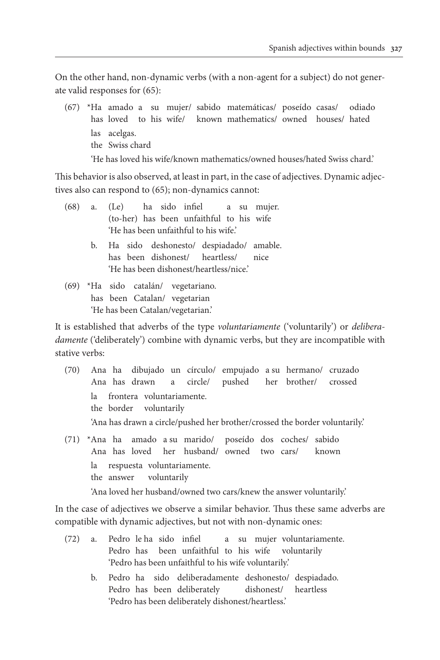On the other hand, non-dynamic verbs (with a non-agent for a subject) do not generate valid responses for (65):

(67) \*Ha amado a su mujer/ sabido matemáticas/ poseído casas/ odiado has loved to his wife/ known mathematics/ owned houses/ hated las acelgas. the Swiss chard 'He has loved his wife/known mathematics/owned houses/hated Swiss chard.'

This behavior is also observed, at least in part, in the case of adjectives. Dynamic adjectives also can respond to (65); non-dynamics cannot:

| (68) | a. (Le) ha sido infiel a su mujer.                                                                     |
|------|--------------------------------------------------------------------------------------------------------|
|      | (to-her) has been unfaithful to his wife                                                               |
|      | 'He has been unfaithful to his wife.'                                                                  |
|      | b. Ha sido deshonesto/ despiadado/ amable.                                                             |
|      | has been dishonest/ heartless/ nice                                                                    |
|      | 'He has been dishonest/heartless/nice.'                                                                |
|      | $(69)$ *Ha sido catalán/ vegetariano.                                                                  |
|      | has been Catalan/ vegetarian                                                                           |
|      | 'He has been Catalan/vegetarian.'                                                                      |
|      | It is established that adverbs of the type <i>voluntariamente</i> ('voluntarily') or <i>delibera</i> - |
|      |                                                                                                        |

*damente* ('deliberately') combine with dynamic verbs, but they are incompatible with stative verbs:

- (70) Ana ha dibujado un círculo/ empujado a su hermano/ cruzado Ana has drawn a circle/ pushed her brother/ crossed la frontera voluntariamente. the border voluntarily 'Ana has drawn a circle/pushed her brother/crossed the border voluntarily.'
- (71) \*Ana ha amado a su marido/ poseído dos coches/ sabido Ana has loved her husband/ owned two cars/ known la respuesta voluntariamente. the answer voluntarily

'Ana loved her husband/owned two cars/knew the answer voluntarily.'

In the case of adjectives we observe a similar behavior. Thus these same adverbs are compatible with dynamic adjectives, but not with non-dynamic ones:

- (72) a. Pedro le ha sido infiel a su mujer voluntariamente. Pedro has been unfaithful to his wife voluntarily 'Pedro has been unfaithful to his wife voluntarily.'
	- b. Pedro ha sido deliberadamente deshonesto/ despiadado. Pedro has been deliberately dishonest/ heartless 'Pedro has been deliberately dishonest/heartless.'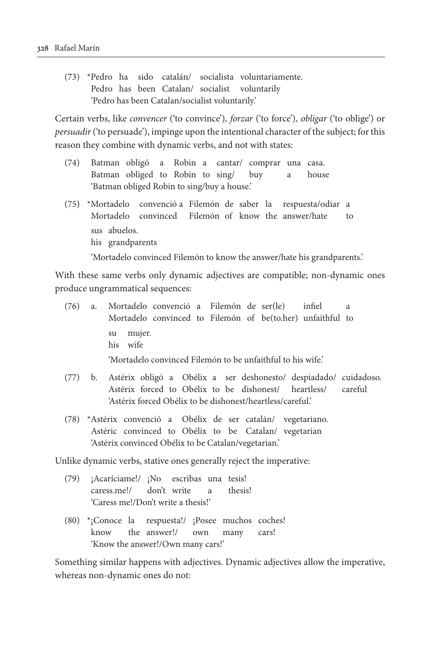(73) \*Pedro ha sido catalán/ socialista voluntariamente. Pedro has been Catalan/ socialist voluntarily 'Pedro has been Catalan/socialist voluntarily.'

Certain verbs, like *convencer* ('to convince')*, forzar* ('to force')*, obligar* ('to oblige') or *persuadir* ('to persuade'), impinge upon the intentional character of the subject; for this reason they combine with dynamic verbs, and not with states:

- (74) Batman obligó a Robin a cantar/ comprar una casa. Batman obliged to Robin to sing/ buy a house 'Batman obliged Robin to sing/buy a house.'
- (75) \*Mortadelo convenció a Filemón de saber la respuesta/odiar a Mortadelo convinced Filemón of know the answer/hate to sus abuelos. his grandparents

'Mortadelo convinced Filemón to know the answer/hate his grandparents.'

With these same verbs only dynamic adjectives are compatible; non-dynamic ones produce ungrammatical sequences:

|  | (76) a. Mortadelo convenció a Filemón de ser(le) infiel     |  |  |  |  |  |  |
|--|-------------------------------------------------------------|--|--|--|--|--|--|
|  | Mortadelo convinced to Filemón of be(to.her) unfaithful to  |  |  |  |  |  |  |
|  | su mujer.<br>his wife                                       |  |  |  |  |  |  |
|  | 'Mortadelo convinced Filemón to be unfaithful to his wife.' |  |  |  |  |  |  |

- (77) b. Astérix obligó a Obélix a ser deshonesto/ despiadado/ cuidadoso. Astérix forced to Obélix to be dishonest/ heartless/ careful 'Astérix forced Obélix to be dishonest/heartless/careful.'
- (78) \*Astérix convenció a Obélix de ser catalán/ vegetariano. Astéric convinced to Obélix to be Catalan/ vegetarian 'Astérix convinced Obélix to be Catalan/vegetarian.'

Unlike dynamic verbs, stative ones generally reject the imperative:

- (79) ¡Acaríciame!/ ¡No escribas una tesis! caress.me!/ don't write a thesis! 'Caress me!/Don't write a thesis!'
- (80) \*¡Conoce la respuesta!/ ¡Posee muchos coches! know the answer!/ own many cars! 'Know the answer!/Own many cars!'

Something similar happens with adjectives. Dynamic adjectives allow the imperative, whereas non-dynamic ones do not: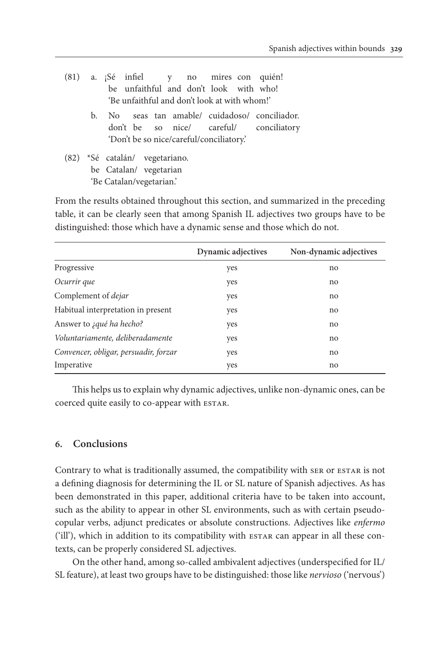|                                              |    |  |                                |  |  |  |                                          |  | $(81)$ a. $5\acute{e}$ infiel $y$ no mires con quién! |
|----------------------------------------------|----|--|--------------------------------|--|--|--|------------------------------------------|--|-------------------------------------------------------|
|                                              |    |  |                                |  |  |  | be unfaithful and don't look with who!   |  |                                                       |
| 'Be unfaithful and don't look at with whom!' |    |  |                                |  |  |  |                                          |  |                                                       |
|                                              | b. |  |                                |  |  |  |                                          |  | No seas tan amable/ cuidadoso/ conciliador.           |
|                                              |    |  |                                |  |  |  |                                          |  | don't be so nice/ careful/ conciliatory               |
|                                              |    |  |                                |  |  |  | 'Don't be so nice/careful/conciliatory.' |  |                                                       |
|                                              |    |  | (82) *Sé catalán/ vegetariano. |  |  |  |                                          |  |                                                       |
|                                              |    |  | be Catalan/ vegetarian         |  |  |  |                                          |  |                                                       |
| 'Be Catalan/vegetarian.'                     |    |  |                                |  |  |  |                                          |  |                                                       |
|                                              |    |  |                                |  |  |  |                                          |  |                                                       |

From the results obtained throughout this section, and summarized in the preceding table, it can be clearly seen that among Spanish IL adjectives two groups have to be distinguished: those which have a dynamic sense and those which do not.

|                                       | Dynamic adjectives | Non-dynamic adjectives |
|---------------------------------------|--------------------|------------------------|
| Progressive                           | yes                | no                     |
| Ocurrir que                           | yes                | no                     |
| Complement of <i>dejar</i>            | yes                | no                     |
| Habitual interpretation in present    | yes                | no                     |
| Answer to <i>jqué ha hecho?</i>       | yes                | no                     |
| Voluntariamente, deliberadamente      | yes                | no                     |
| Convencer, obligar, persuadir, forzar | yes                | no                     |
| Imperative                            | yes                | no                     |

This helps us to explain why dynamic adjectives, unlike non-dynamic ones, can be coerced quite easily to co-appear with ESTAR.

# **6. Conclusions**

Contrary to what is traditionally assumed, the compatibility with SER OT ESTAR is not a defining diagnosis for determining the IL or SL nature of Spanish adjectives. As has been demonstrated in this paper, additional criteria have to be taken into account, such as the ability to appear in other SL environments, such as with certain pseudocopular verbs, adjunct predicates or absolute constructions. Adjectives like *enfermo* ('ill'), which in addition to its compatibility with ESTAR can appear in all these contexts, can be properly considered SL adjectives.

On the other hand, among so-called ambivalent adjectives (underspecified for IL/ SL feature), at least two groups have to be distinguished: those like *nervioso* ('nervous')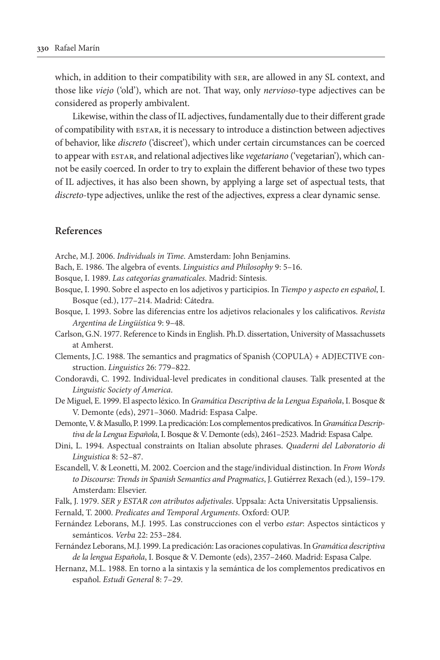which, in addition to their compatibility with ser, are allowed in any SL context, and those like *viejo* ('old'), which are not. That way, only *nervioso*-type adjectives can be considered as properly ambivalent.

Likewise, within the class of IL adjectives, fundamentally due to their different grade of compatibility with estar, it is necessary to introduce a distinction between adjectives of behavior, like *discreto* ('discreet'), which under certain circumstances can be coerced to appear with ESTAR, and relational adjectives like *vegetariano* ('vegetarian'), which cannot be easily coerced. In order to try to explain the different behavior of these two types of IL adjectives, it has also been shown, by applying a large set of aspectual tests, that *discreto*-type adjectives, unlike the rest of the adjectives, express a clear dynamic sense.

#### **References**

- Arche, M.J. 2006. *Individuals in Time*. Amsterdam: John Benjamins.
- Bach, E. 1986. The algebra of events. *Linguistics and Philosophy* 9: 5–16.
- Bosque, I. 1989. *Las categorías gramaticales*. Madrid: Síntesis.
- Bosque, I. 1990. Sobre el aspecto en los adjetivos y participios. In *Tiempo y aspecto en español*, I. Bosque (ed.), 177–214. Madrid: Cátedra.
- Bosque, I. 1993. Sobre las diferencias entre los adjetivos relacionales y los calificativos. *Revista Argentina de Lingüística* 9: 9–48.
- Carlson, G.N. 1977. Reference to Kinds in English. Ph.D. dissertation, University of Massachussets at Amherst.
- Clements, J.C. 1988. The semantics and pragmatics of Spanish 〈COPULA〉 + ADJECTIVE construction. *Linguistics* 26: 779–822.
- Condoravdi, C. 1992. Individual-level predicates in conditional clauses. Talk presented at the *Linguistic Society of America*.
- De Miguel, E. 1999. El aspecto léxico. In *Gramática Descriptiva de la Lengua Española*, I. Bosque & V. Demonte (eds), 2971–3060. Madrid: Espasa Calpe.
- Demonte, V. & Masullo, P. 1999. La predicación: Los complementos predicativos. In *Gramática Descriptiva de la Lengua Española*, I. Bosque & V. Demonte (eds), 2461–2523. Madrid: Espasa Calpe.
- Dini, L. 1994. Aspectual constraints on Italian absolute phrases. *Quaderni del Laboratorio di Linguistica* 8: 52–87.
- Escandell, V. & Leonetti, M. 2002. Coercion and the stage/individual distinction. In *From Words to Discourse: Trends in Spanish Semantics and Pragmatics*, J. Gutiérrez Rexach (ed.), 159–179. Amsterdam: Elsevier.
- Falk, J. 1979. *SER y ESTAR con atributos adjetivales*. Uppsala: Acta Universitatis Uppsaliensis.
- Fernald, T. 2000. *Predicates and Temporal Arguments*. Oxford: OUP.
- Fernández Leborans, M.J. 1995. Las construcciones con el verbo *estar*: Aspectos sintácticos y semánticos. *Verba* 22: 253–284.
- Fernández Leborans, M.J. 1999. La predicación: Las oraciones copulativas. In *Gramática descriptiva de la lengua Española*, I. Bosque & V. Demonte (eds), 2357–2460. Madrid: Espasa Calpe.
- Hernanz, M.L. 1988. En torno a la sintaxis y la semántica de los complementos predicativos en español. *Estudi General* 8: 7–29.